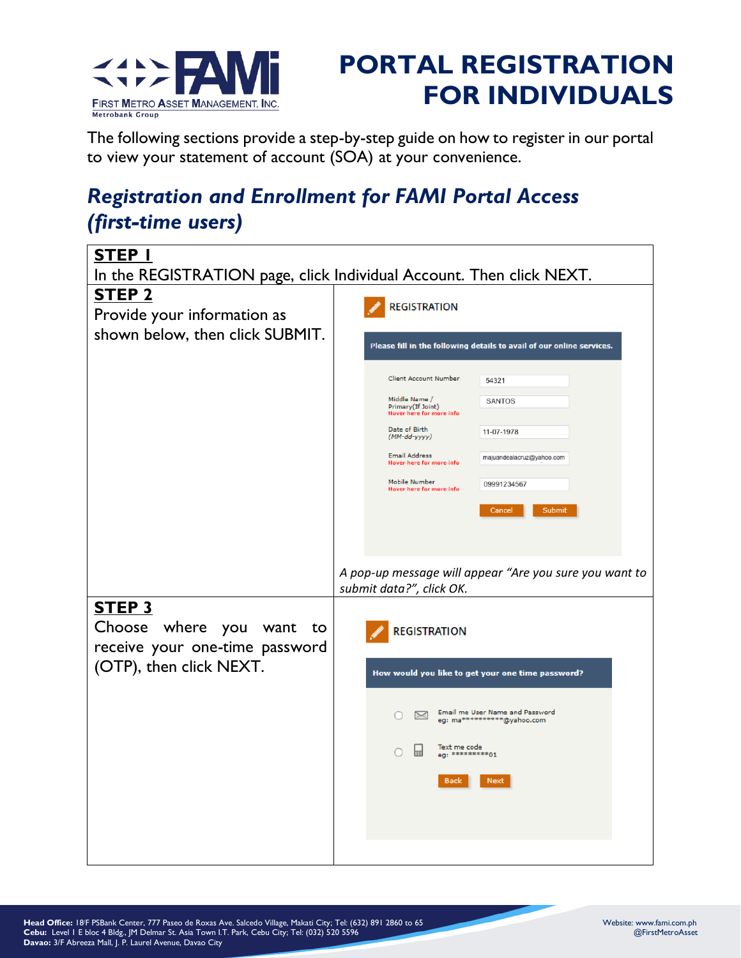

## **PORTAL REGISTRATION FOR INDIVIDUALS**

The following sections provide a step-by-step guide on how to register in our portal to view your statement of account (SOA) at your convenience.

## *Registration and Enrollment for FAMI Portal Access (first-time users)*

| STEP I<br>In the REGISTRATION page, click Individual Account. Then click NEXT. |                                                                                  |  |
|--------------------------------------------------------------------------------|----------------------------------------------------------------------------------|--|
| <b>STEP 2</b><br>Provide your information as                                   | <b>REGISTRATION</b>                                                              |  |
| shown below, then click SUBMIT.                                                | Please fill in the following details to avail of our online services.            |  |
|                                                                                | <b>Client Account Number</b><br>54321                                            |  |
|                                                                                | Middle Name /<br><b>SANTOS</b><br>Primary (If Joint)<br>Hover here for more info |  |
|                                                                                | Date of Birth<br>11-07-1978<br>(MM-dd-yyyy)                                      |  |
|                                                                                | <b>Email Address</b><br>majuandealacruz@yahoo.com<br>Hover here for more info    |  |
|                                                                                | Mobile Number<br>09991234567<br>Hover here for more info                         |  |
|                                                                                | Submit<br>Cancel                                                                 |  |
|                                                                                |                                                                                  |  |
|                                                                                | A pop-up message will appear "Are you sure you want to                           |  |
|                                                                                | submit data?", click OK.                                                         |  |
| STEP <sub>3</sub>                                                              |                                                                                  |  |
| Choose where<br>you want<br>to<br>receive your one-time password               | <b>REGISTRATION</b>                                                              |  |
| (OTP), then click NEXT.                                                        | How would you like to get your one time password?                                |  |
|                                                                                | Email me User Name and Password<br>$\bowtie$<br>eg: ma***********@yahoo.com      |  |
|                                                                                | Text me code<br>⊞<br>eq: **********01                                            |  |
|                                                                                | <b>Next</b><br><b>Back</b>                                                       |  |
|                                                                                |                                                                                  |  |
|                                                                                |                                                                                  |  |
|                                                                                |                                                                                  |  |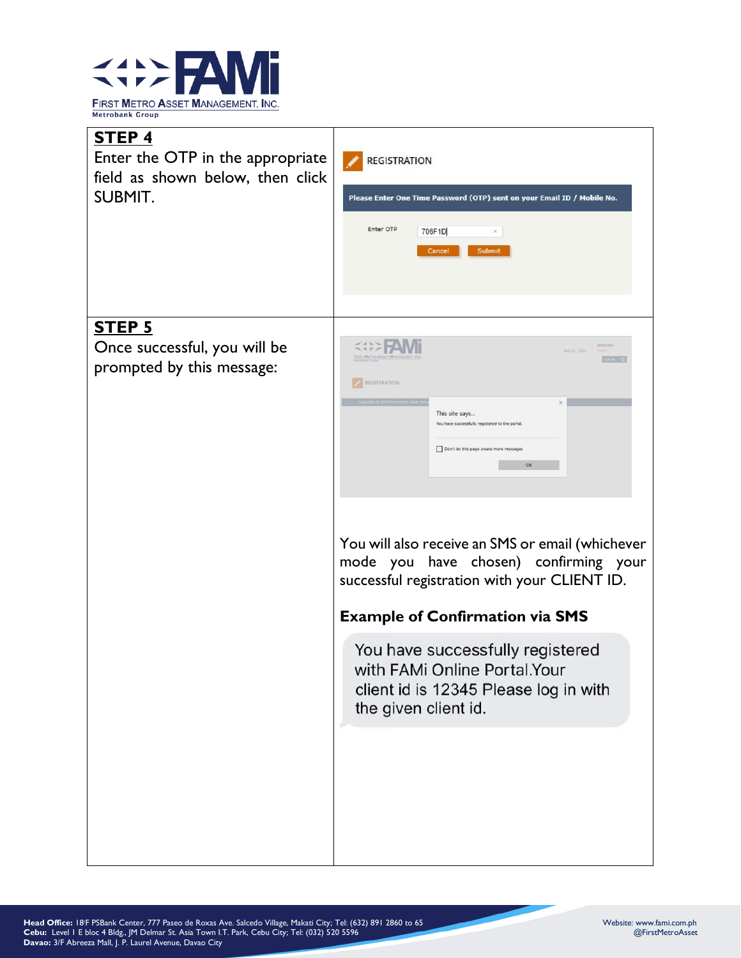

| <b>STEP 4</b><br>Enter the OTP in the appropriate<br>field as shown below, then click<br><b>SUBMIT.</b> | <b>REGISTRATION</b><br>Please Enter One Time Password (OTP) sent on your Email ID / Mobile No.<br>Enter OTP<br>706F1D<br>$\mathcal{S}$<br>Submit<br>Cancel                                  |
|---------------------------------------------------------------------------------------------------------|---------------------------------------------------------------------------------------------------------------------------------------------------------------------------------------------|
| <b>STEP 5</b><br>Once successful, you will be<br>prompted by this message:                              | Welcoms<br>Feb 03, 2030<br><b>HAT METRO ASSET MA</b><br>REGISTRATION<br>This site says<br>You have successfully registered to the portal.<br>Don't let this page create more messages<br>OK |
|                                                                                                         | You will also receive an SMS or email (whichever<br>mode you have chosen) confirming your<br>successful registration with your CLIENT ID.<br><b>Example of Confirmation via SMS</b>         |
|                                                                                                         | You have successfully registered<br>with FAMi Online Portal.Your<br>client id is 12345 Please log in with<br>the given client id.                                                           |
|                                                                                                         |                                                                                                                                                                                             |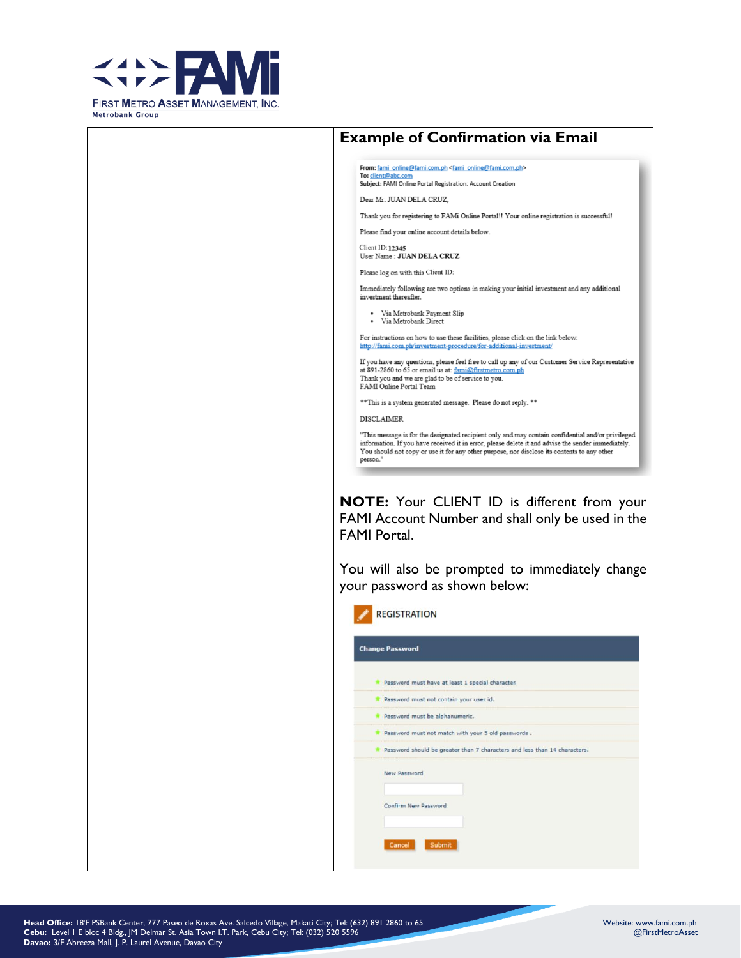



From: fami\_online@fami.com.ph <fami\_online@fami.com.ph> To: client@abc.com<br>Subject: FAMI Online Portal Registration: Account Creation

Dear Mr. JUAN DELA CRUZ,

Thank you for registering to FAMi Online Portal!! Your online registration is successful!

Please find your online account details below.

**Client ID: 12345**  $\label{eq:UserName} \textbf{User Name}: \textbf{JUAN DELA CRUZ}$ 

Please log on with this Client ID:

Immediately following are two options in making your initial investment and any additional investment thereafter

Via Metrobank Payment Slip - Via Metrobank Direct

For instructions on how to use these facilities, please click on the link below: http://fami.com.ph/investment-procedure/for-additional-investme

If you have any questions, please feel free to call up any of our Customer Service Representative at 891-2860 to 65 or email us at: fami@firstmetro.com.ph<br>Thank you and we are glad to be of service to you. FAMI Online Portal Team

\*\* This is a system generated message. Please do not reply. \*\*

**DISCLAIMER** 

"This message is for the designated recipient only and may contain confidential and/or privileged information. If you have received it in error, please delete it and advise the sender immediately. You should not copy or use it for any other purpose, nor disclose its contents to any other person."

NOTE: Your CLIENT ID is different from your FAMI Account Number and shall only be used in the **FAMI Portal.** 

You will also be prompted to immediately change your password as shown below:

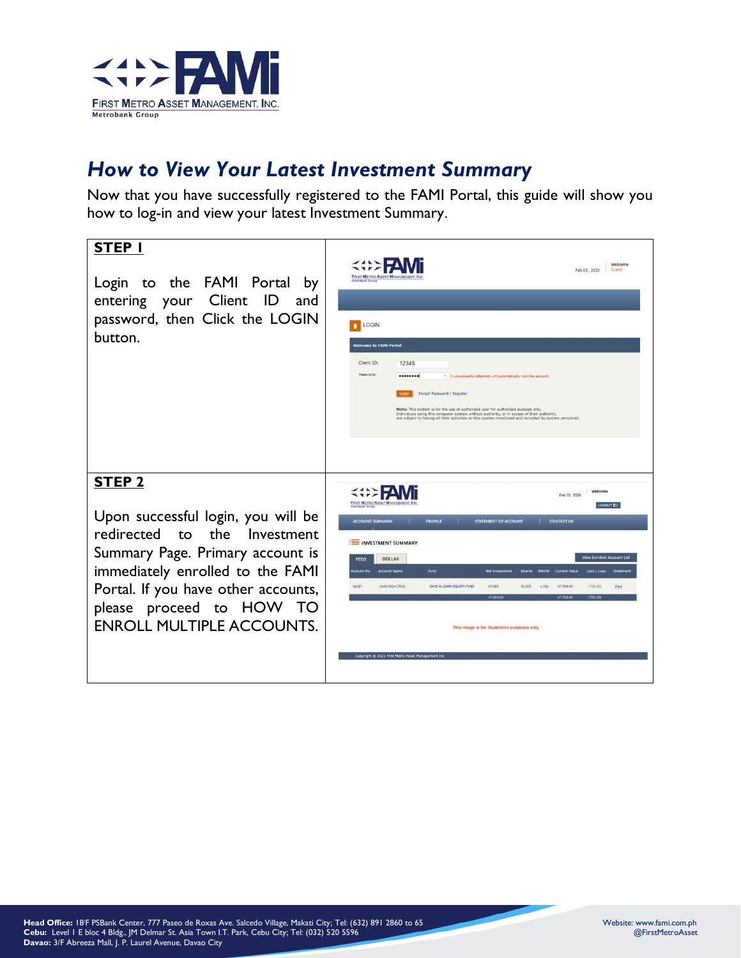

## *How to View Your Latest Investment Summary*

Now that you have successfully registered to the FAMI Portal, this guide will show you how to log-in and view your latest Investment Summary.

| STEP I<br>Login to the FAMI Portal<br>by<br>entering your Client ID<br>and<br>password, then Click the LOGIN<br>button.                                                                                                                                                | Welcome<br>Guest<br>Feb 03, 2020<br><b>FIRST METRO ASSET MANAGEM</b><br><b>LOGIN</b><br><b>Welcome to FAMI Portal</b><br>Client ID:<br>12345<br>Password:<br><br>- 3 unsuccessful attempts will automatically lock the account.<br>Forgot Password   Register<br>Note: This system is for the use of authorized user for authorized purpose only.<br>Individuals using this computer system without authority, or in excess of their authority,<br>are subject to having all their activities on this system monitored and recorded by system personnel.                                                                                                                                                            |
|------------------------------------------------------------------------------------------------------------------------------------------------------------------------------------------------------------------------------------------------------------------------|---------------------------------------------------------------------------------------------------------------------------------------------------------------------------------------------------------------------------------------------------------------------------------------------------------------------------------------------------------------------------------------------------------------------------------------------------------------------------------------------------------------------------------------------------------------------------------------------------------------------------------------------------------------------------------------------------------------------|
| STEP <sub>2</sub><br>Upon successful login, you will be<br>redirected to the Investment<br>Summary Page. Primary account is<br>immediately enrolled to the FAMI<br>Portal. If you have other accounts,<br>please proceed to HOW TO<br><b>ENROLL MULTIPLE ACCOUNTS.</b> | Welcome<br>Feb 03, 2020<br><b>FIRST METRO ASSET N</b><br>LOGOUT ED<br><b>ACCOUNT SUMMARY</b><br><b>PROFILE</b><br><b>STATEMENT OF ACCOUNT</b><br><b>CONTACT US</b><br><b>EXAMPLE INVESTMENT SUMMARY</b><br><b>View Enrolled Account List</b><br><b>PESO</b><br><b>DOLLAR</b><br><b>Account Name</b><br>Fund<br>Gain / Loss<br>Statemen<br><b>Account No.</b><br><b>Net Investment</b><br><b>NAVPs</b> Current Value<br><b>Shares:</b><br>SAVE & LEARN EQUITY FUND<br><b>JUAN DELA CRUZ</b><br>47,000<br>10.000<br>47,768.00<br>(768.00)<br>54321<br>View<br>4,700<br>47,000.00<br>47.768.0<br><b>1768.00</b><br>This image is for illustrative purposes only.<br>Copyright @ 2021 First Metro Asset Management Inc. |